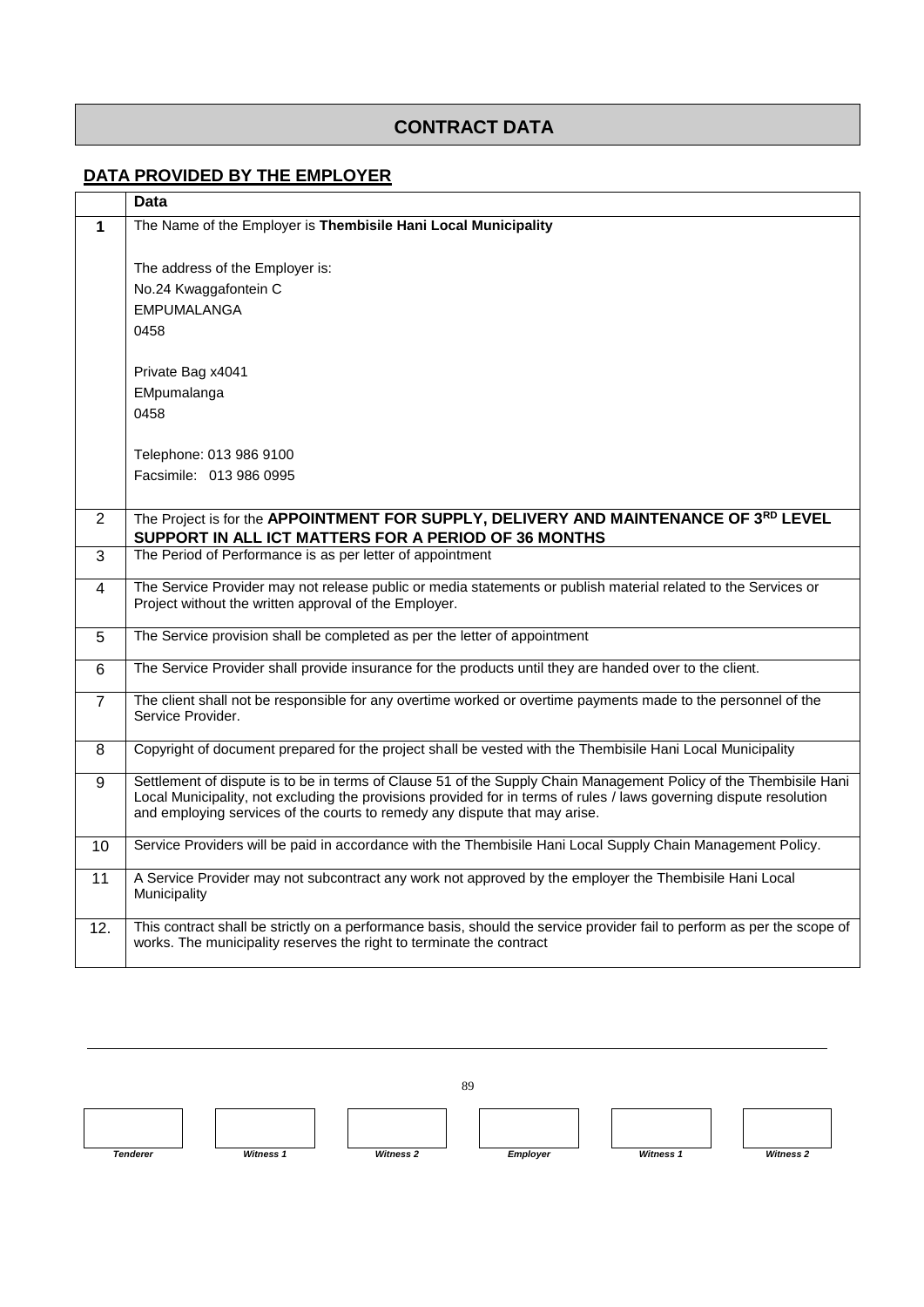## **CONTRACT DATA**

## **DATA PROVIDED BY THE EMPLOYER**

|                | <b>Data</b>                                                                                                                                                                                                                              |  |  |
|----------------|------------------------------------------------------------------------------------------------------------------------------------------------------------------------------------------------------------------------------------------|--|--|
| $\mathbf 1$    | The Name of the Employer is Thembisile Hani Local Municipality                                                                                                                                                                           |  |  |
|                |                                                                                                                                                                                                                                          |  |  |
|                | The address of the Employer is:                                                                                                                                                                                                          |  |  |
|                | No.24 Kwaggafontein C                                                                                                                                                                                                                    |  |  |
|                | <b>EMPUMALANGA</b>                                                                                                                                                                                                                       |  |  |
|                | 0458                                                                                                                                                                                                                                     |  |  |
|                | Private Bag x4041                                                                                                                                                                                                                        |  |  |
|                | EMpumalanga                                                                                                                                                                                                                              |  |  |
|                | 0458                                                                                                                                                                                                                                     |  |  |
|                |                                                                                                                                                                                                                                          |  |  |
|                | Telephone: 013 986 9100                                                                                                                                                                                                                  |  |  |
|                | Facsimile: 013 986 0995                                                                                                                                                                                                                  |  |  |
|                |                                                                                                                                                                                                                                          |  |  |
| $\overline{2}$ | The Project is for the APPOINTMENT FOR SUPPLY, DELIVERY AND MAINTENANCE OF 3 <sup>RD</sup> LEVEL<br>SUPPORT IN ALL ICT MATTERS FOR A PERIOD OF 36 MONTHS                                                                                 |  |  |
| 3              | The Period of Performance is as per letter of appointment                                                                                                                                                                                |  |  |
|                | The Service Provider may not release public or media statements or publish material related to the Services or                                                                                                                           |  |  |
| $\overline{4}$ | Project without the written approval of the Employer.                                                                                                                                                                                    |  |  |
|                |                                                                                                                                                                                                                                          |  |  |
| 5              | The Service provision shall be completed as per the letter of appointment                                                                                                                                                                |  |  |
| 6              | The Service Provider shall provide insurance for the products until they are handed over to the client.                                                                                                                                  |  |  |
| $\overline{7}$ | The client shall not be responsible for any overtime worked or overtime payments made to the personnel of the                                                                                                                            |  |  |
|                | Service Provider.                                                                                                                                                                                                                        |  |  |
|                | Copyright of document prepared for the project shall be vested with the Thembisile Hani Local Municipality                                                                                                                               |  |  |
| 8              |                                                                                                                                                                                                                                          |  |  |
| 9              | Settlement of dispute is to be in terms of Clause 51 of the Supply Chain Management Policy of the Thembisile Hani<br>Local Municipality, not excluding the provisions provided for in terms of rules / laws governing dispute resolution |  |  |
|                | and employing services of the courts to remedy any dispute that may arise.                                                                                                                                                               |  |  |
|                | Service Providers will be paid in accordance with the Thembisile Hani Local Supply Chain Management Policy.                                                                                                                              |  |  |
| 10             |                                                                                                                                                                                                                                          |  |  |
| 11             | A Service Provider may not subcontract any work not approved by the employer the Thembisile Hani Local<br>Municipality                                                                                                                   |  |  |
|                |                                                                                                                                                                                                                                          |  |  |
| 12.            | This contract shall be strictly on a performance basis, should the service provider fail to perform as per the scope of                                                                                                                  |  |  |
|                | works. The municipality reserves the right to terminate the contract                                                                                                                                                                     |  |  |
|                |                                                                                                                                                                                                                                          |  |  |

89 *Tenderer Witness 1 Witness 2 Employer Witness 1 Witness 2*